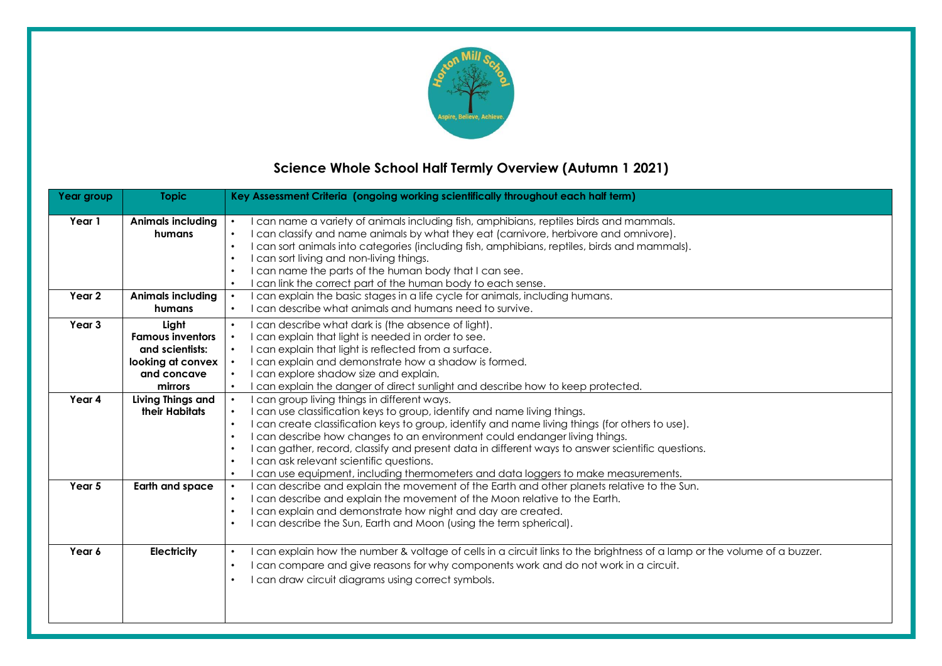

# **Science Whole School Half Termly Overview (Autumn 1 2021)**

| Year group | <b>Topic</b>             | Key Assessment Criteria (ongoing working scientifically throughout each half term)                                                                      |
|------------|--------------------------|---------------------------------------------------------------------------------------------------------------------------------------------------------|
| Year 1     | <b>Animals including</b> | I can name a variety of animals including fish, amphibians, reptiles birds and mammals.<br>$\bullet$                                                    |
|            | humans                   | I can classify and name animals by what they eat (carnivore, herbivore and omnivore).<br>$\bullet$                                                      |
|            |                          | I can sort animals into categories (including fish, amphibians, reptiles, birds and mammals).<br>$\bullet$                                              |
|            |                          | I can sort living and non-living things.<br>$\bullet$                                                                                                   |
|            |                          | I can name the parts of the human body that I can see.<br>$\bullet$                                                                                     |
|            |                          | I can link the correct part of the human body to each sense.<br>$\bullet$                                                                               |
| Year 2     | <b>Animals including</b> | can explain the basic stages in a life cycle for animals, including humans.<br>$\bullet$                                                                |
|            | humans                   | can describe what animals and humans need to survive.                                                                                                   |
| Year 3     | Light                    | I can describe what dark is (the absence of light).<br>$\bullet$                                                                                        |
|            | <b>Famous inventors</b>  | I can explain that light is needed in order to see.<br>$\bullet$                                                                                        |
|            | and scientists:          | I can explain that light is reflected from a surface.<br>$\bullet$                                                                                      |
|            | looking at convex        | I can explain and demonstrate how a shadow is formed.<br>$\bullet$                                                                                      |
|            | and concave              | I can explore shadow size and explain.<br>$\bullet$                                                                                                     |
|            | mirrors                  | can explain the danger of direct sunlight and describe how to keep protected.<br>$\bullet$                                                              |
| Year 4     | Living Things and        | I can group living things in different ways.<br>$\bullet$                                                                                               |
|            | their Habitats           | I can use classification keys to group, identify and name living things.<br>$\bullet$                                                                   |
|            |                          | I can create classification keys to group, identify and name living things (for others to use).<br>$\bullet$                                            |
|            |                          | I can describe how changes to an environment could endanger living things.<br>$\bullet$                                                                 |
|            |                          | I can gather, record, classify and present data in different ways to answer scientific questions.<br>$\bullet$                                          |
|            |                          | I can ask relevant scientific questions.<br>$\bullet$                                                                                                   |
|            |                          | I can use equipment, including thermometers and data loggers to make measurements.<br>$\bullet$                                                         |
| Year 5     | <b>Earth and space</b>   | I can describe and explain the movement of the Earth and other planets relative to the Sun.<br>$\bullet$<br>$\bullet$                                   |
|            |                          | I can describe and explain the movement of the Moon relative to the Earth.<br>I can explain and demonstrate how night and day are created.<br>$\bullet$ |
|            |                          | I can describe the Sun, Earth and Moon (using the term spherical).<br>$\bullet$                                                                         |
|            |                          |                                                                                                                                                         |
| Year 6     | <b>Electricity</b>       | can explain how the number & voltage of cells in a circuit links to the brightness of a lamp or the volume of a buzzer.<br>$\bullet$                    |
|            |                          | I can compare and give reasons for why components work and do not work in a circuit.<br>$\bullet$                                                       |
|            |                          | I can draw circuit diagrams using correct symbols.                                                                                                      |
|            |                          |                                                                                                                                                         |
|            |                          |                                                                                                                                                         |
|            |                          |                                                                                                                                                         |
|            |                          |                                                                                                                                                         |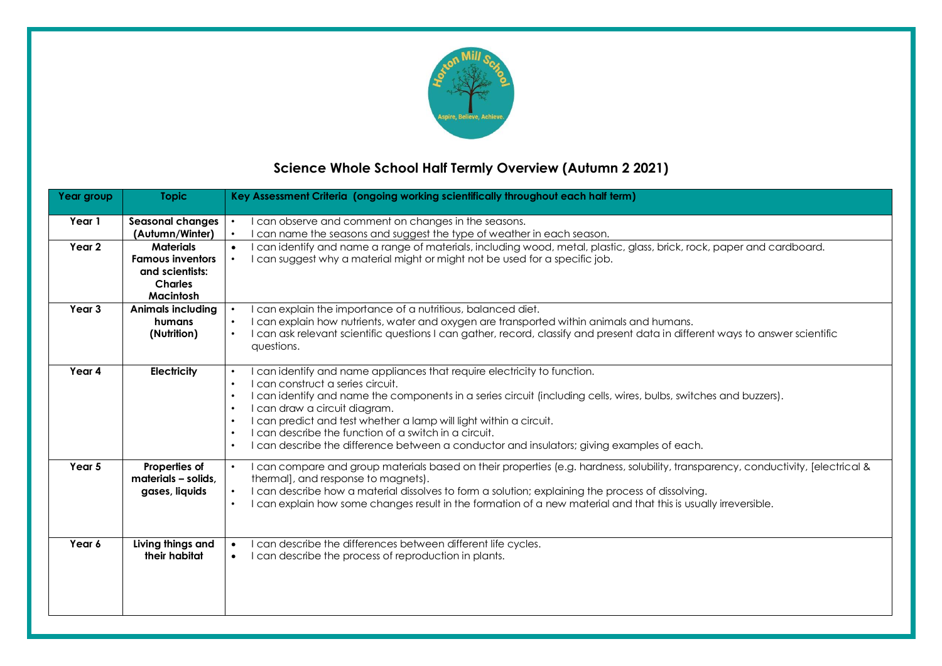

# **Science Whole School Half Termly Overview (Autumn 2 2021)**

| Year group        | <b>Topic</b>                                                                                         | Key Assessment Criteria (ongoing working scientifically throughout each half term)                                                                                                                                                                                                                                                                                                                                                                                                                                                                                          |
|-------------------|------------------------------------------------------------------------------------------------------|-----------------------------------------------------------------------------------------------------------------------------------------------------------------------------------------------------------------------------------------------------------------------------------------------------------------------------------------------------------------------------------------------------------------------------------------------------------------------------------------------------------------------------------------------------------------------------|
| Year 1            | <b>Seasonal changes</b><br>(Autumn/Winter)                                                           | I can observe and comment on changes in the seasons.<br>can name the seasons and suggest the type of weather in each season.<br>$\bullet$                                                                                                                                                                                                                                                                                                                                                                                                                                   |
| Year 2            | <b>Materials</b><br><b>Famous inventors</b><br>and scientists:<br><b>Charles</b><br><b>Macintosh</b> | I can identify and name a range of materials, including wood, metal, plastic, glass, brick, rock, paper and cardboard.<br>$\bullet$<br>can suggest why a material might or might not be used for a specific job.                                                                                                                                                                                                                                                                                                                                                            |
| Year <sub>3</sub> | <b>Animals including</b><br>humans<br>(Nutrition)                                                    | can explain the importance of a nutritious, balanced diet.<br>I can explain how nutrients, water and oxygen are transported within animals and humans.<br>$\bullet$<br>I can ask relevant scientific questions I can gather, record, classify and present data in different ways to answer scientific<br>$\bullet$<br>questions.                                                                                                                                                                                                                                            |
| Year 4            | <b>Electricity</b>                                                                                   | I can identify and name appliances that require electricity to function.<br>$\bullet$<br>I can construct a series circuit.<br>$\bullet$<br>I can identify and name the components in a series circuit (including cells, wires, bulbs, switches and buzzers).<br>$\bullet$<br>I can draw a circuit diagram.<br>$\bullet$<br>I can predict and test whether a lamp will light within a circuit.<br>٠<br>I can describe the function of a switch in a circuit.<br>٠<br>I can describe the difference between a conductor and insulators; giving examples of each.<br>$\bullet$ |
| Year 5            | Properties of<br>materials - solids,<br>gases, liquids                                               | I can compare and group materials based on their properties (e.g. hardness, solubility, transparency, conductivity, [electrical &<br>$\bullet$<br>thermal], and response to magnets).<br>I can describe how a material dissolves to form a solution; explaining the process of dissolving.<br>$\bullet$<br>I can explain how some changes result in the formation of a new material and that this is usually irreversible.<br>$\bullet$                                                                                                                                     |
| Year 6            | Living things and<br>their habitat                                                                   | can describe the differences between different life cycles.<br>$\bullet$<br>can describe the process of reproduction in plants.<br>$\bullet$                                                                                                                                                                                                                                                                                                                                                                                                                                |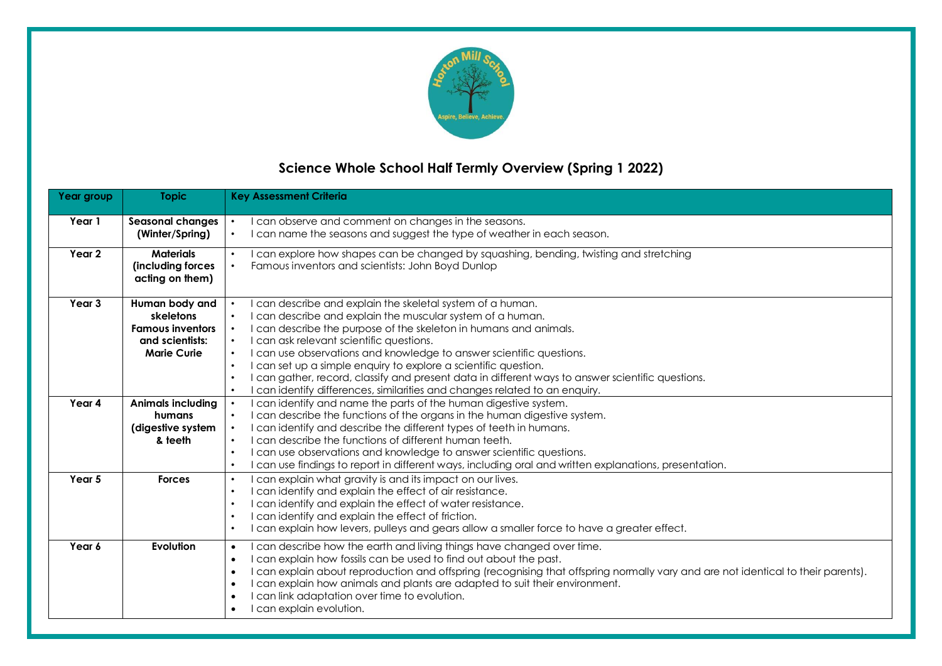

# **Science Whole School Half Termly Overview (Spring 1 2022)**

| Year group | <b>Topic</b>                                                                                    | <b>Key Assessment Criteria</b>                                                                                                                                                                                                                                                                                                                                                                                                                                                                                                                                                                                                                                    |
|------------|-------------------------------------------------------------------------------------------------|-------------------------------------------------------------------------------------------------------------------------------------------------------------------------------------------------------------------------------------------------------------------------------------------------------------------------------------------------------------------------------------------------------------------------------------------------------------------------------------------------------------------------------------------------------------------------------------------------------------------------------------------------------------------|
| Year 1     | <b>Seasonal changes</b><br>(Winter/Spring)                                                      | I can observe and comment on changes in the seasons.<br>I can name the seasons and suggest the type of weather in each season.<br>$\bullet$                                                                                                                                                                                                                                                                                                                                                                                                                                                                                                                       |
| Year 2     | <b>Materials</b><br>(including forces<br>acting on them)                                        | I can explore how shapes can be changed by squashing, bending, twisting and stretching<br>$\bullet$<br>Famous inventors and scientists: John Boyd Dunlop                                                                                                                                                                                                                                                                                                                                                                                                                                                                                                          |
| Year 3     | Human body and<br>skeletons<br><b>Famous inventors</b><br>and scientists:<br><b>Marie Curie</b> | can describe and explain the skeletal system of a human.<br>I can describe and explain the muscular system of a human.<br>$\bullet$<br>I can describe the purpose of the skeleton in humans and animals.<br>$\bullet$<br>I can ask relevant scientific questions.<br>$\bullet$<br>I can use observations and knowledge to answer scientific questions.<br>$\bullet$<br>I can set up a simple enquiry to explore a scientific question.<br>$\bullet$<br>I can gather, record, classify and present data in different ways to answer scientific questions.<br>$\bullet$<br>I can identify differences, similarities and changes related to an enquiry.<br>$\bullet$ |
| Year 4     | <b>Animals including</b><br>humans<br>(digestive system<br>& teeth                              | I can identify and name the parts of the human digestive system.<br>I can describe the functions of the organs in the human digestive system.<br>$\bullet$<br>I can identify and describe the different types of teeth in humans.<br>$\bullet$<br>I can describe the functions of different human teeth.<br>$\bullet$<br>I can use observations and knowledge to answer scientific questions.<br>$\bullet$<br>I can use findings to report in different ways, including oral and written explanations, presentation.<br>$\bullet$                                                                                                                                 |
| Year 5     | <b>Forces</b>                                                                                   | I can explain what gravity is and its impact on our lives.<br>$\bullet$<br>I can identify and explain the effect of air resistance.<br>$\bullet$<br>I can identify and explain the effect of water resistance.<br>$\bullet$<br>I can identify and explain the effect of friction.<br>$\bullet$<br>I can explain how levers, pulleys and gears allow a smaller force to have a greater effect.<br>$\bullet$                                                                                                                                                                                                                                                        |
| Year 6     | Evolution                                                                                       | I can describe how the earth and living things have changed over time.<br>$\bullet$<br>I can explain how fossils can be used to find out about the past.<br>$\bullet$<br>I can explain about reproduction and offspring (recognising that offspring normally vary and are not identical to their parents).<br>$\bullet$<br>I can explain how animals and plants are adapted to suit their environment.<br>$\bullet$<br>I can link adaptation over time to evolution.<br>$\bullet$<br>I can explain evolution.                                                                                                                                                     |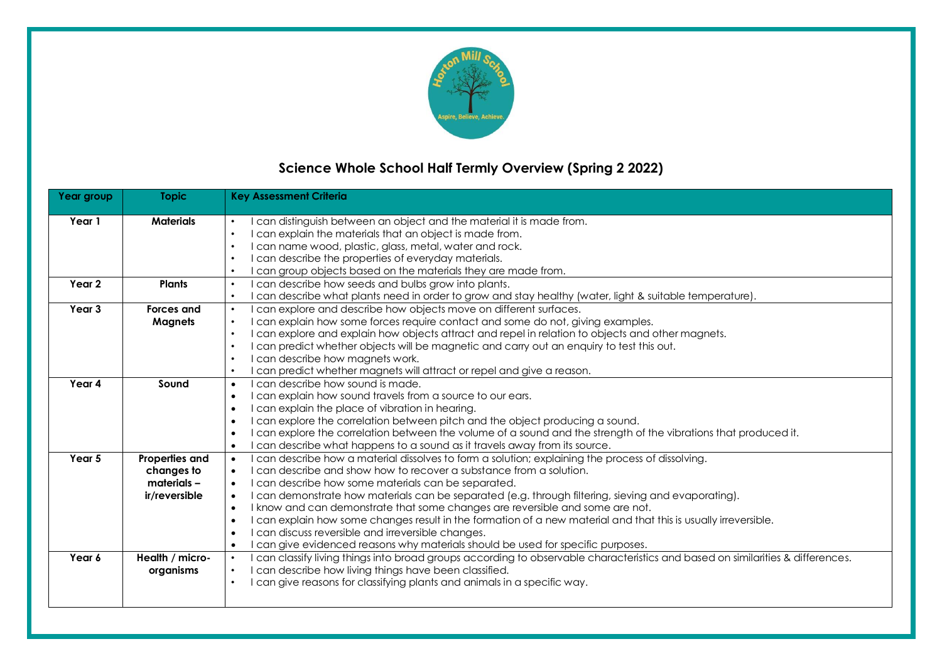

# **Science Whole School Half Termly Overview (Spring 2 2022)**

| Year group | <b>Topic</b>      | <b>Key Assessment Criteria</b>                                                                                                                                                                          |
|------------|-------------------|---------------------------------------------------------------------------------------------------------------------------------------------------------------------------------------------------------|
| Year 1     | <b>Materials</b>  | can distinguish between an object and the material it is made from.<br>$\bullet$                                                                                                                        |
|            |                   | can explain the materials that an object is made from.<br>$\bullet$                                                                                                                                     |
|            |                   | can name wood, plastic, glass, metal, water and rock.<br>$\bullet$                                                                                                                                      |
|            |                   | can describe the properties of everyday materials.<br>$\bullet$                                                                                                                                         |
|            |                   | can group objects based on the materials they are made from.<br>$\bullet$                                                                                                                               |
| Year 2     | <b>Plants</b>     | can describe how seeds and bulbs grow into plants.<br>$\bullet$                                                                                                                                         |
|            |                   | can describe what plants need in order to grow and stay healthy (water, light & suitable temperature).<br>$\bullet$                                                                                     |
| Year 3     | <b>Forces and</b> | can explore and describe how objects move on different surfaces.<br>$\bullet$                                                                                                                           |
|            |                   | can explain how some forces require contact and some do not, giving examples.<br>$\bullet$                                                                                                              |
|            | <b>Magnets</b>    | $\bullet$                                                                                                                                                                                               |
|            |                   | can explore and explain how objects attract and repel in relation to objects and other magnets.<br>can predict whether objects will be magnetic and carry out an enquiry to test this out.<br>$\bullet$ |
|            |                   | $\bullet$                                                                                                                                                                                               |
|            |                   | can describe how magnets work.                                                                                                                                                                          |
| Year 4     | Sound             | can predict whether magnets will attract or repel and give a reason.<br>$\bullet$<br>can describe how sound is made.                                                                                    |
|            |                   | $\bullet$                                                                                                                                                                                               |
|            |                   | can explain how sound travels from a source to our ears.<br>$\bullet$                                                                                                                                   |
|            |                   | can explain the place of vibration in hearing.<br>$\bullet$                                                                                                                                             |
|            |                   | can explore the correlation between pitch and the object producing a sound.<br>$\bullet$                                                                                                                |
|            |                   | can explore the correlation between the volume of a sound and the strength of the vibrations that produced it.<br>$\bullet$                                                                             |
|            |                   | can describe what happens to a sound as it travels away from its source.<br>$\bullet$                                                                                                                   |
| Year 5     | Properties and    | can describe how a material dissolves to form a solution; explaining the process of dissolving.<br>$\bullet$                                                                                            |
|            | changes to        | can describe and show how to recover a substance from a solution.<br>$\bullet$                                                                                                                          |
|            | materials -       | can describe how some materials can be separated.<br>$\bullet$                                                                                                                                          |
|            | ir/reversible     | can demonstrate how materials can be separated (e.g. through filtering, sieving and evaporating).<br>$\bullet$                                                                                          |
|            |                   | I know and can demonstrate that some changes are reversible and some are not.<br>$\bullet$                                                                                                              |
|            |                   | can explain how some changes result in the formation of a new material and that this is usually irreversible.<br>$\bullet$                                                                              |
|            |                   | can discuss reversible and irreversible changes.<br>$\bullet$                                                                                                                                           |
|            |                   | can give evidenced reasons why materials should be used for specific purposes.<br>$\bullet$                                                                                                             |
| Year 6     | Health / micro-   | can classify living things into broad groups according to observable characteristics and based on similarities & differences.<br>$\bullet$                                                              |
|            | organisms         | can describe how living things have been classified.<br>$\bullet$                                                                                                                                       |
|            |                   | can give reasons for classifying plants and animals in a specific way.<br>$\bullet$                                                                                                                     |
|            |                   |                                                                                                                                                                                                         |
|            |                   |                                                                                                                                                                                                         |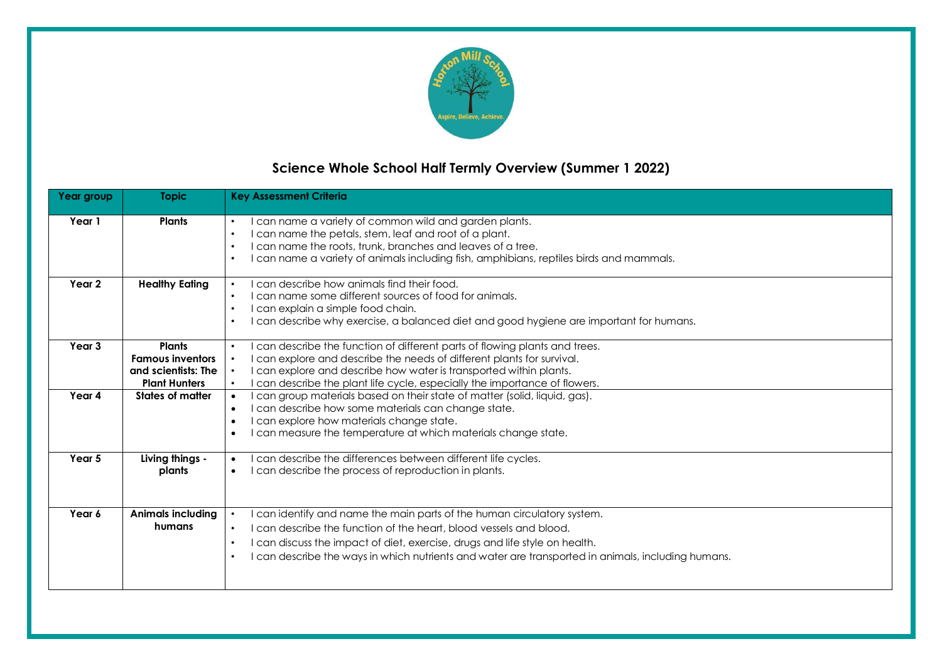

# **Science Whole School Half Termly Overview (Summer 1 2022)**

| Year group        | <b>Topic</b>                                                                            | <b>Key Assessment Criteria</b>                                                                                                                                                                                                                                                                                                                             |
|-------------------|-----------------------------------------------------------------------------------------|------------------------------------------------------------------------------------------------------------------------------------------------------------------------------------------------------------------------------------------------------------------------------------------------------------------------------------------------------------|
| Year 1            | <b>Plants</b>                                                                           | can name a variety of common wild and garden plants.<br>$\bullet$<br>I can name the petals, stem, leaf and root of a plant.<br>$\bullet$<br>I can name the roots, trunk, branches and leaves of a tree.<br>$\bullet$<br>I can name a variety of animals including fish, amphibians, reptiles birds and mammals.<br>$\bullet$                               |
| Year 2            | <b>Healthy Eating</b>                                                                   | can describe how animals find their food.<br>$\bullet$<br>I can name some different sources of food for animals.<br>$\bullet$<br>I can explain a simple food chain.<br>$\bullet$<br>can describe why exercise, a balanced diet and good hygiene are important for humans.<br>$\bullet$                                                                     |
| Year <sub>3</sub> | <b>Plants</b><br><b>Famous inventors</b><br>and scientists: The<br><b>Plant Hunters</b> | I can describe the function of different parts of flowing plants and trees.<br>$\bullet$<br>can explore and describe the needs of different plants for survival.<br>I can explore and describe how water is transported within plants.<br>can describe the plant life cycle, especially the importance of flowers.<br>$\bullet$                            |
| Year 4            | States of matter                                                                        | can group materials based on their state of matter (solid, liquid, gas).<br>$\bullet$<br>I can describe how some materials can change state.<br>$\bullet$<br>I can explore how materials change state.<br>$\bullet$<br>I can measure the temperature at which materials change state.<br>$\bullet$                                                         |
| Year 5            | Living things -<br>plants                                                               | can describe the differences between different life cycles.<br>$\bullet$<br>I can describe the process of reproduction in plants.<br>$\bullet$                                                                                                                                                                                                             |
| Year 6            | <b>Animals including</b><br>humans                                                      | can identify and name the main parts of the human circulatory system.<br>I can describe the function of the heart, blood vessels and blood.<br>$\bullet$<br>I can discuss the impact of diet, exercise, drugs and life style on health.<br>$\bullet$<br>I can describe the ways in which nutrients and water are transported in animals, including humans. |